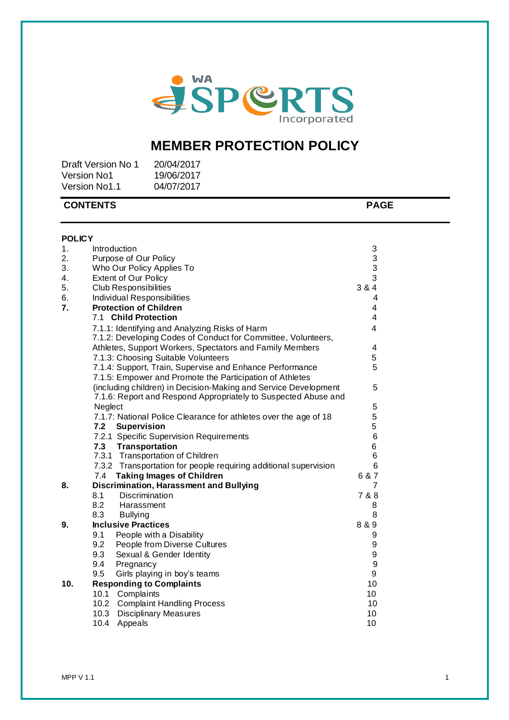

# MEMBER PROTECTION POLICY

| Draft Version No 1   | 20/04/2017 |
|----------------------|------------|
| <b>Version No1</b>   | 19/06/2017 |
| <b>Version No1.1</b> | 04/07/2017 |

|               | <b>CONTENTS</b>                                                  | <b>PAGE</b> |  |
|---------------|------------------------------------------------------------------|-------------|--|
| <b>POLICY</b> |                                                                  |             |  |
| 1.            | Introduction                                                     | 3           |  |
| 2.            | Purpose of Our Policy                                            | 3           |  |
| 3.            | Who Our Policy Applies To                                        | 3           |  |
| 4.            | <b>Extent of Our Policy</b>                                      | 3           |  |
| 5.            | <b>Club Responsibilities</b>                                     | 3 & 4       |  |
| 6.            | Individual Responsibilities                                      | 4           |  |
| 7.            | <b>Protection of Children</b>                                    | 4           |  |
|               | 7.1 Child Protection                                             | 4           |  |
|               | 7.1.1: Identifying and Analyzing Risks of Harm                   | 4           |  |
|               | 7.1.2: Developing Codes of Conduct for Committee, Volunteers,    |             |  |
|               | Athletes, Support Workers, Spectators and Family Members         | 4           |  |
|               | 7.1.3: Choosing Suitable Volunteers                              | 5           |  |
|               | 7.1.4: Support, Train, Supervise and Enhance Performance         | 5           |  |
|               | 7.1.5: Empower and Promote the Participation of Athletes         |             |  |
|               | (including children) in Decision-Making and Service Development  | 5           |  |
|               | 7.1.6: Report and Respond Appropriately to Suspected Abuse and   |             |  |
|               | Neglect                                                          | 5           |  |
|               | 7.1.7: National Police Clearance for athletes over the age of 18 | 5           |  |
|               | 7.2<br>Supervision                                               | 5           |  |
|               | 7.2.1 Specific Supervision Requirements                          | 6           |  |
|               | <b>Transportation</b><br>7.3                                     | 6           |  |
|               | 7.3.1 Transportation of Children                                 | 6           |  |
|               | 7.3.2 Transportation for people requiring additional supervision | 6           |  |
|               | <b>Taking Images of Children</b><br>7.4                          | 6 & 7       |  |
| 8.            | <b>Discrimination, Harassment and Bullying</b>                   | 7           |  |
|               | 8.1<br><b>Discrimination</b>                                     | 7 & 8       |  |
|               | 8.2<br>Harassment                                                | 8           |  |
|               | 8.3<br><b>Bullying</b>                                           | 8           |  |
| 9.            | <b>Inclusive Practices</b>                                       | 8 & 9       |  |
|               | 9.1<br>People with a Disability                                  | 9           |  |
|               | 9.2<br>People from Diverse Cultures                              | 9           |  |
|               | 9.3<br>Sexual & Gender Identity                                  | 9           |  |
|               | 9.4<br>Pregnancy                                                 | 9           |  |
|               | Girls playing in boy's teams<br>9.5                              | 9           |  |
| 10.           | <b>Responding to Complaints</b>                                  | 10          |  |
|               | 10.1 Complaints                                                  | 10          |  |
|               | 10.2 Complaint Handling Process                                  | 10          |  |
|               | 10.3<br><b>Disciplinary Measures</b>                             | 10          |  |
|               | 10.4<br>Appeals                                                  | 10          |  |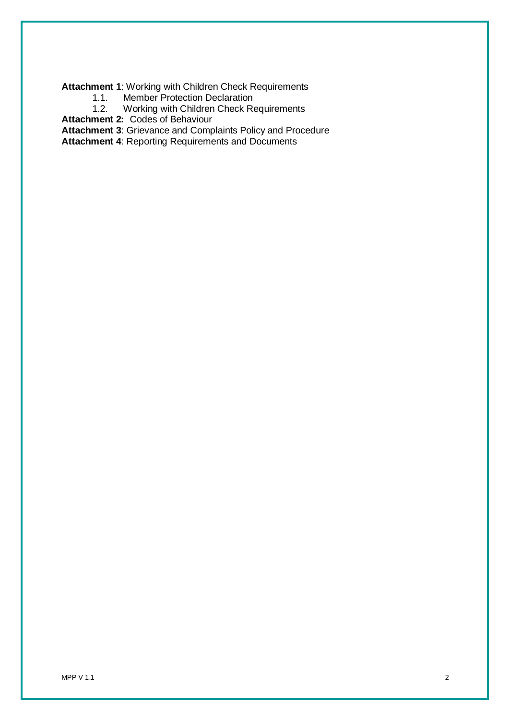**Attachment 1**: Working with Children Check Requirements

- 1.1. Member Protection Declaration<br>1.2. Working with Children Check Re
- Working with Children Check Requirements

**Attachment 2:** Codes of Behaviour

**Attachment 3**: Grievance and Complaints Policy and Procedure

**Attachment 4**: Reporting Requirements and Documents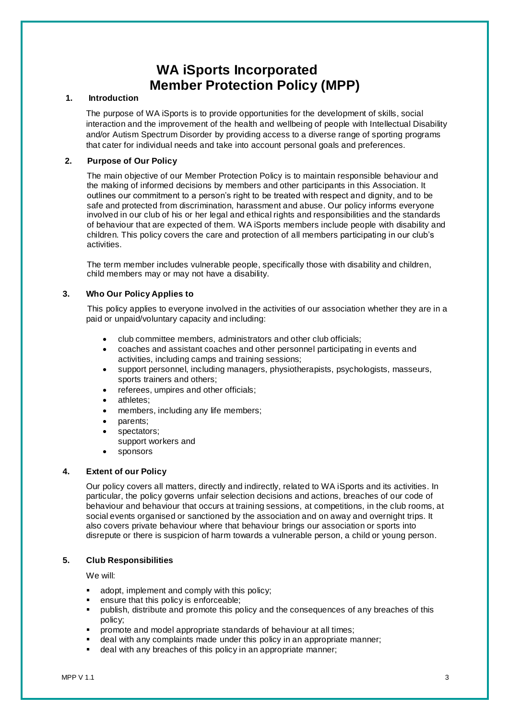# **WA iSports Incorporated Member Protection Policy (MPP)**

# **1. Introduction**

The purpose of WA iSports is to provide opportunities for the development of skills, social interaction and the improvement of the health and wellbeing of people with Intellectual Disability and/or Autism Spectrum Disorder by providing access to a diverse range of sporting programs that cater for individual needs and take into account personal goals and preferences.

# **2. Purpose of Our Policy**

The main objective of our Member Protection Policy is to maintain responsible behaviour and the making of informed decisions by members and other participants in this Association. It outlines our commitment to a person's right to be treated with respect and dignity, and to be safe and protected from discrimination, harassment and abuse. Our policy informs everyone involved in our club of his or her legal and ethical rights and responsibilities and the standards of behaviour that are expected of them. WA iSports members include people with disability and children. This policy covers the care and protection of all members participating in our club's activities.

The term member includes vulnerable people, specifically those with disability and children, child members may or may not have a disability.

# **3. Who Our Policy Applies to**

This policy applies to everyone involved in the activities of our association whether they are in a paid or unpaid/voluntary capacity and including:

- club committee members, administrators and other club officials;
- coaches and assistant coaches and other personnel participating in events and activities, including camps and training sessions;
- support personnel, including managers, physiotherapists, psychologists, masseurs, sports trainers and others;
- referees, umpires and other officials;
- athletes;
- members, including any life members;
- parents;
- spectators;
	- support workers and
- sponsors

# **4. Extent of our Policy**

Our policy covers all matters, directly and indirectly, related to WA iSports and its activities. In particular, the policy governs unfair selection decisions and actions, breaches of our code of behaviour and behaviour that occurs at training sessions, at competitions, in the club rooms, at social events organised or sanctioned by the association and on away and overnight trips. It also covers private behaviour where that behaviour brings our association or sports into disrepute or there is suspicion of harm towards a vulnerable person, a child or young person.

# **5. Club Responsibilities**

### **We will:**

- adopt, implement and comply with this policy;
- ensure that this policy is enforceable;
- publish, distribute and promote this policy and the consequences of any breaches of this policy;
- promote and model appropriate standards of behaviour at all times;
- deal with any complaints made under this policy in an appropriate manner;
- deal with any breaches of this policy in an appropriate manner;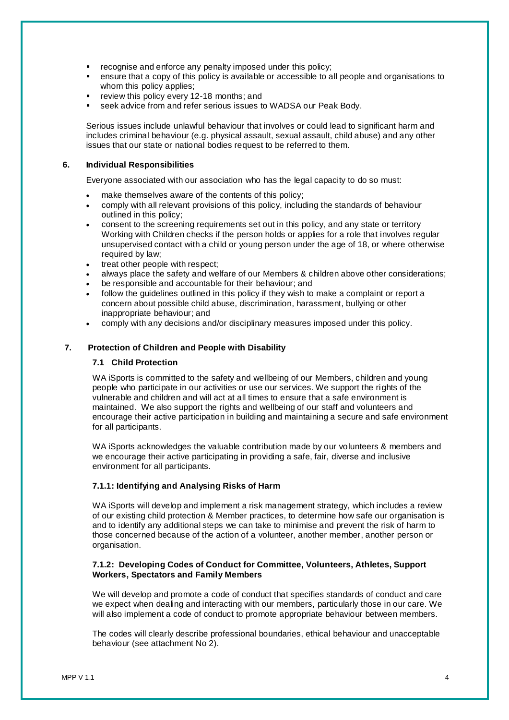- recognise and enforce any penalty imposed under this policy;
- ensure that a copy of this policy is available or accessible to all people and organisations to whom this policy applies;
- review this policy every 12-18 months; and
- seek advice from and refer serious issues to WADSA our Peak Body.

**Serious issues include unlawful behaviour that involves or could lead to significant harm and includes criminal behaviour (e.g. physical assault, sexual assault, child abuse) and any other issues that our state or national bodies request to be referred to them.**

#### 6. Individual Responsibilities

**Everyone associated with our association who has the legal capacity to do so must:**

- **make themselves aware of the contents of this policy;**
- **comply with all relevant provisions of this policy, including the standards of behaviour outlined in this policy;**
- **consent to the screening requirements set out in this policy, and any state or territory Working with Children checks if the person holds or applies for a role that involves regular unsupervised contact with a child or young person under the age of 18, or where otherwise required by law;**
- **treat other people with respect;**
- **always place the safety and welfare of our Members & children above other considerations;**
- **be responsible and accountable for their behaviour; and**
- **follow the guidelines outlined in this policy if they wish to make a complaint or report a concern about possible child abuse, discrimination, harassment, bullying or other inappropriate behaviour; and**
- **comply with any decisions and/or disciplinary measures imposed under this policy.**

#### **7. Protection of Children and People with Disability**

### **7.1 Child Protection**

WA iSports is committed to the safety and wellbeing of our Members, children and young people who participate in our activities or use our services. We support the rights of the vulnerable and children and will act at all times to ensure that a safe environment is maintained. We also support the rights and wellbeing of our staff and volunteers and encourage their active participation in building and maintaining a secure and safe environment for all participants.

WA iSports acknowledges the valuable contribution made by our volunteers & members and we encourage their active participating in providing a safe, fair, diverse and inclusive environment for all participants.

### **7.1.1: Identifying and Analysing Risks of Harm**

WA iSports will develop and implement a risk management strategy, which includes a review of our existing child protection & Member practices, to determine how safe our organisation is and to identify any additional steps we can take to minimise and prevent the risk of harm to those concerned because of the action of a volunteer, another member, another person or organisation.

### **7.1.2: Developing Codes of Conduct for Committee, Volunteers, Athletes, Support Workers, Spectators and Family Members**

We will develop and promote a code of conduct that specifies standards of conduct and care we expect when dealing and interacting with our members, particularly those in our care. We will also implement a code of conduct to promote appropriate behaviour between members.

The codes will clearly describe professional boundaries, ethical behaviour and unacceptable behaviour (see attachment No 2).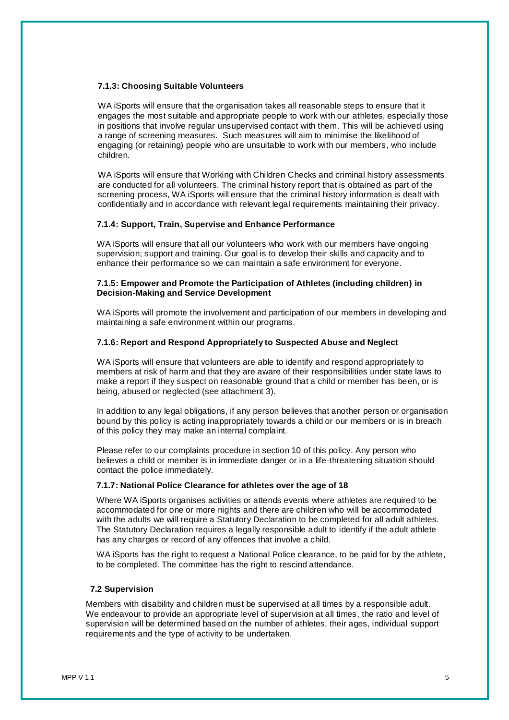### **7.1.3: Choosing Suitable Volunteers**

WA iSports will ensure that the organisation takes all reasonable steps to ensure that it engages the most suitable and appropriate people to work with our athletes, especially those in positions that involve regular unsupervised contact with them. This will be achieved using a range of screening measures. Such measures will aim to minimise the likelihood of engaging (or retaining) people who are unsuitable to work with our members, who include children.

WA iSports will ensure that Working with Children Checks and criminal history assessments are conducted for all volunteers. The criminal history report that is obtained as part of the screening process, WA iSports will ensure that the criminal history information is dealt with confidentially and in accordance with relevant legal requirements maintaining their privacy.

# **7.1.4: Support, Train, Supervise and Enhance Performance**

WA iSports will ensure that all our volunteers who work with our members have ongoing supervision; support and training. Our goal is to develop their skills and capacity and to enhance their performance so we can maintain a safe environment for everyone.

### **7.1.5: Empower and Promote the Participation of Athletes (including children) in Decision-Making and Service Development**

WA iSports will promote the involvement and participation of our members in developing and maintaining a safe environment within our programs.

# **7.1.6: Report and Respond Appropriately to Suspected Abuse and Neglect**

WA iSports will ensure that volunteers are able to identify and respond appropriately to members at risk of harm and that they are aware of their responsibilities under state laws to make a report if they suspect on reasonable ground that a child or member has been, or is being, abused or neglected (see attachment 3).

In addition to any legal obligations, if any person believes that another person or organisation bound by this policy is acting inappropriately towards a child or our members or is in breach of this policy they may make an internal complaint.

Please refer to our complaints procedure in section 10 of this policy. Any person who believes a child or member is in immediate danger or in a life-threatening situation should contact the police immediately.

### **7.1.7: National Police Clearance for athletes over the age of 18**

Where WA iSports organises activities or attends events where athletes are required to be accommodated for one or more nights and there are children who will be accommodated with the adults we will require a Statutory Declaration to be completed for all adult athletes. The Statutory Declaration requires a legally responsible adult to identify if the adult athlete has any charges or record of any offences that involve a child.

WA iSports has the right to request a National Police clearance, to be paid for by the athlete, to be completed. The committee has the right to rescind attendance.

### **7.2 Supervision**

Members with disability and children must be supervised at all times by a responsible adult. We endeavour to provide an appropriate level of supervision at all times, the ratio and level of supervision will be determined based on the number of athletes, their ages, individual support requirements and the type of activity to be undertaken.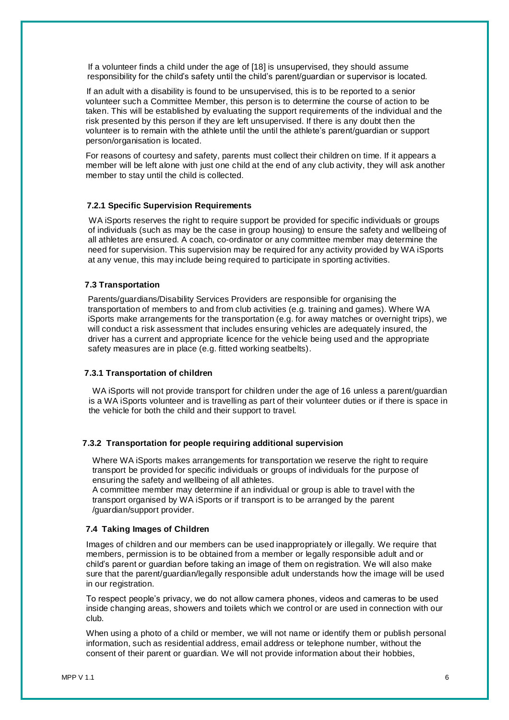If a volunteer finds a child under the age of [18] is unsupervised, they should assume responsibility for the child's safety until the child's parent/guardian or supervisor is located.

If an adult with a disability is found to be unsupervised, this is to be reported to a senior volunteer such a Committee Member, this person is to determine the course of action to be taken. This will be established by evaluating the support requirements of the individual and the risk presented by this person if they are left unsupervised. If there is any doubt then the volunteer is to remain with the athlete until the until the athlete's parent/guardian or support person/organisation is located.

For reasons of courtesy and safety, parents must collect their children on time. If it appears a member will be left alone with just one child at the end of any club activity, they will ask another member to stay until the child is collected.

### **7.2.1 Specific Supervision Requirements**

WA iSports reserves the right to require support be provided for specific individuals or groups of individuals (such as may be the case in group housing) to ensure the safety and wellbeing of all athletes are ensured. A coach, co-ordinator or any committee member may determine the need for supervision. This supervision may be required for any activity provided by WA iSports at any venue, this may include being required to participate in sporting activities.

# **7.3 Transportation**

Parents/guardians/Disability Services Providers are responsible for organising the transportation of members to and from club activities (e.g. training and games). Where WA iSports make arrangements for the transportation (e.g. for away matches or overnight trips), we will conduct a risk assessment that includes ensuring vehicles are adequately insured, the driver has a current and appropriate licence for the vehicle being used and the appropriate safety measures are in place (e.g. fitted working seatbelts).

#### **7.3.1 Transportation of children**

WA iSports will not provide transport for children under the age of 16 unless a parent/guardian is a WA iSports volunteer and is travelling as part of their volunteer duties or if there is space in the vehicle for both the child and their support to travel.

#### **7.3.2 Transportation for people requiring additional supervision**

Where WA iSports makes arrangements for transportation we reserve the right to require transport be provided for specific individuals or groups of individuals for the purpose of ensuring the safety and wellbeing of all athletes.

A committee member may determine if an individual or group is able to travel with the transport organised by WA iSports or if transport is to be arranged by the parent /guardian/support provider.

### **7.4 Taking Images of Children**

Images of children and our members can be used inappropriately or illegally. We require that members, permission is to be obtained from a member or legally responsible adult and or child's parent or guardian before taking an image of them on registration. We will also make sure that the parent/guardian/legally responsible adult understands how the image will be used in our registration.

To respect people's privacy, we do not allow camera phones, videos and cameras to be used inside changing areas, showers and toilets which we control or are used in connection with our club.

When using a photo of a child or member, we will not name or identify them or publish personal information, such as residential address, email address or telephone number, without the consent of their parent or guardian. We will not provide information about their hobbies,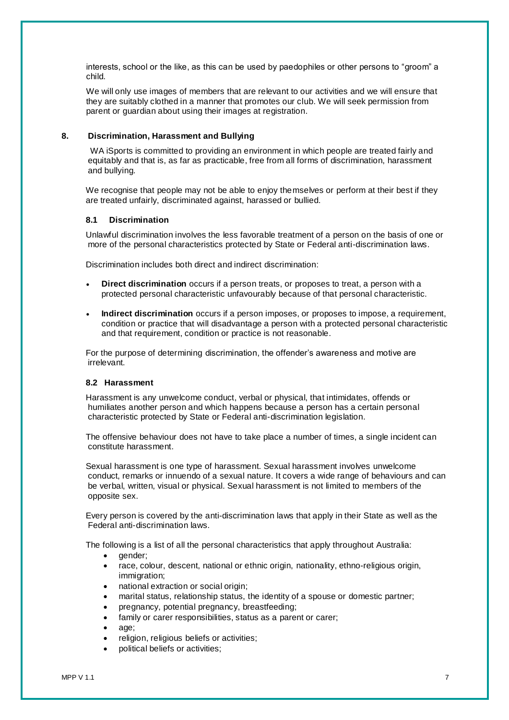interests, school or the like, as this can be used by paedophiles or other persons to "groom" a child.

We will only use images of members that are relevant to our activities and we will ensure that they are suitably clothed in a manner that promotes our club. We will seek permission from parent or guardian about using their images at registration.

# **8. Discrimination, Harassment and Bullying**

WA iSports is committed to providing an environment in which people are treated fairly and equitably and that is, as far as practicable, free from all forms of discrimination, harassment and bullying.

We recognise that people may not be able to enjoy themselves or perform at their best if they are treated unfairly, discriminated against, harassed or bullied.

### **8.1 Discrimination**

Unlawful discrimination involves the less favorable treatment of a person on the basis of one or more of the personal characteristics protected by State or Federal anti-discrimination laws.

Discrimination includes both direct and indirect discrimination:

- **Direct discrimination** occurs if a person treats, or proposes to treat, a person with a protected personal characteristic unfavourably because of that personal characteristic.
- **Indirect discrimination** occurs if a person imposes, or proposes to impose, a requirement, condition or practice that will disadvantage a person with a protected personal characteristic and that requirement, condition or practice is not reasonable.

For the purpose of determining discrimination, the offender's awareness and motive are irrelevant.

### **8.2 Harassment**

Harassment is any unwelcome conduct, verbal or physical, that intimidates, offends or humiliates another person and which happens because a person has a certain personal characteristic protected by State or Federal anti-discrimination legislation.

The offensive behaviour does not have to take place a number of times, a single incident can constitute harassment.

Sexual harassment is one type of harassment. Sexual harassment involves unwelcome conduct, remarks or innuendo of a sexual nature. It covers a wide range of behaviours and can be verbal, written, visual or physical. Sexual harassment is not limited to members of the opposite sex.

Every person is covered by the anti-discrimination laws that apply in their State as well as the Federal anti-discrimination laws.

The following is a list of all the personal characteristics that apply throughout Australia:

- gender;
- race, colour, descent, national or ethnic origin, nationality, ethno-religious origin, immigration;
- national extraction or social origin:
- marital status, relationship status, the identity of a spouse or domestic partner;
- pregnancy, potential pregnancy, breastfeeding;
- family or carer responsibilities, status as a parent or carer;
- age;
- religion, religious beliefs or activities;
- political beliefs or activities;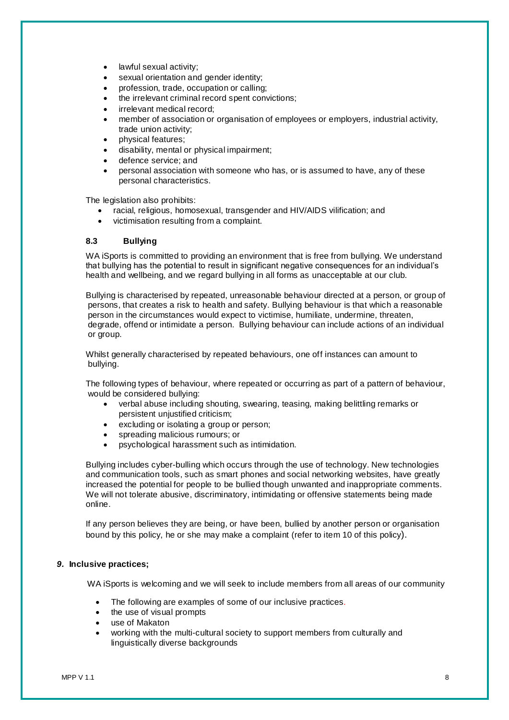- lawful sexual activity;
- sexual orientation and gender identity;
- profession, trade, occupation or calling;
- the irrelevant criminal record spent convictions;
- irrelevant medical record;
- member of association or organisation of employees or employers, industrial activity, trade union activity;
- physical features;
- disability, mental or physical impairment;
- defence service; and
- personal association with someone who has, or is assumed to have, any of these personal characteristics.

The legislation also prohibits:

- racial, religious, homosexual, transgender and HIV/AIDS vilification; and
- victimisation resulting from a complaint.

### **8.3 Bullying**

WA iSports is committed to providing an environment that is free from bullying. We understand that bullying has the potential to result in significant negative consequences for an individual's health and wellbeing, and we regard bullying in all forms as unacceptable at our club.

Bullying is characterised by repeated, unreasonable behaviour directed at a person, or group of persons, that creates a risk to health and safety. Bullying behaviour is that which a reasonable person in the circumstances would expect to victimise, humiliate, undermine, threaten, degrade, offend or intimidate a person. Bullying behaviour can include actions of an individual or group.

Whilst generally characterised by repeated behaviours, one off instances can amount to bullying.

The following types of behaviour, where repeated or occurring as part of a pattern of behaviour, would be considered bullying:

- verbal abuse including shouting, swearing, teasing, making belittling remarks or persistent unjustified criticism;
- excluding or isolating a group or person;
- spreading malicious rumours; or
- psychological harassment such as intimidation.

Bullying includes cyber-bulling which occurs through the use of technology. New technologies and communication tools, such as smart phones and social networking websites, have greatly increased the potential for people to be bullied though unwanted and inappropriate comments. We will not tolerate abusive, discriminatory, intimidating or offensive statements being made online.

If any person believes they are being, or have been, bullied by another person or organisation bound by this policy, he or she may make a complaint (refer to item 10 of this policy).

### *9.* **Inclusive practices;**

WA iSports is welcoming and we will seek to include members from all areas of our community

- The following are examples of some of our inclusive practices*.*
- the use of visual prompts
- use of Makaton
- working with the multi-cultural society to support members from culturally and linguistically diverse backgrounds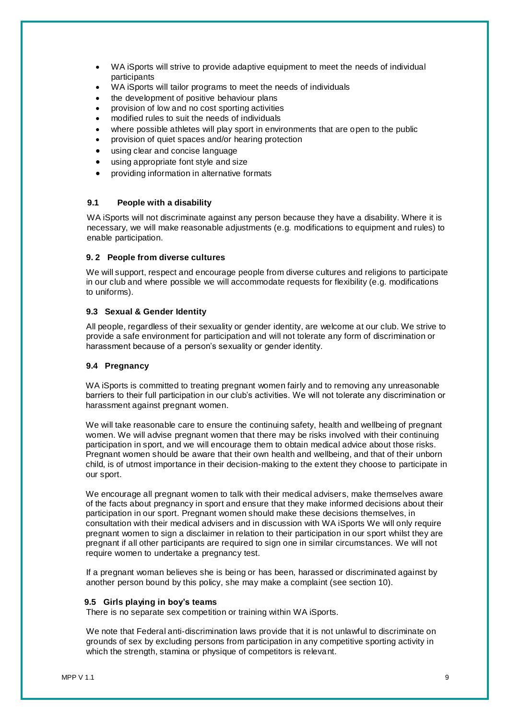- WA iSports will strive to provide adaptive equipment to meet the needs of individual participants
- WA iSports will tailor programs to meet the needs of individuals
- the development of positive behaviour plans
- provision of low and no cost sporting activities
- modified rules to suit the needs of individuals
- where possible athletes will play sport in environments that are open to the public
- provision of quiet spaces and/or hearing protection
- using clear and concise language
- using appropriate font style and size
- providing information in alternative formats

# **9.1 People with a disability**

WA iSports will not discriminate against any person because they have a disability. Where it is necessary, we will make reasonable adjustments (e.g. modifications to equipment and rules) to enable participation.

## **9. 2 People from diverse cultures**

We will support, respect and encourage people from diverse cultures and religions to participate in our club and where possible we will accommodate requests for flexibility (e.g. modifications to uniforms).

# **9.3 Sexual & Gender Identity**

All people, regardless of their sexuality or gender identity, are welcome at our club. We strive to provide a safe environment for participation and will not tolerate any form of discrimination or harassment because of a person's sexuality or gender identity.

# **9.4 Pregnancy**

WA iSports is committed to treating pregnant women fairly and to removing any unreasonable barriers to their full participation in our club's activities. We will not tolerate any discrimination or harassment against pregnant women.

We will take reasonable care to ensure the continuing safety, health and wellbeing of pregnant women. We will advise pregnant women that there may be risks involved with their continuing participation in sport, and we will encourage them to obtain medical advice about those risks. Pregnant women should be aware that their own health and wellbeing, and that of their unborn child, is of utmost importance in their decision-making to the extent they choose to participate in our sport.

We encourage all pregnant women to talk with their medical advisers, make themselves aware of the facts about pregnancy in sport and ensure that they make informed decisions about their participation in our sport. Pregnant women should make these decisions themselves, in consultation with their medical advisers and in discussion with WA iSports We will only require pregnant women to sign a disclaimer in relation to their participation in our sport whilst they are pregnant if all other participants are required to sign one in similar circumstances. We will not require women to undertake a pregnancy test.

If a pregnant woman believes she is being or has been, harassed or discriminated against by another person bound by this policy, she may make a complaint (see section 10).

### **9.5 Girls playing in boy's teams**

There is no separate sex competition or training within WA iSports.

We note that Federal anti-discrimination laws provide that it is not unlawful to discriminate on grounds of sex by excluding persons from participation in any competitive sporting activity in which the strength, stamina or physique of competitors is relevant.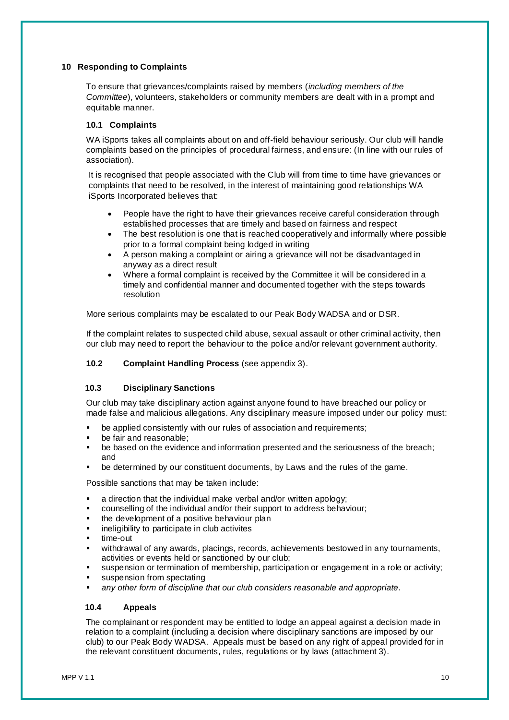# **10 Responding to Complaints**

To ensure that grievances/complaints raised by members (*including members of the Committee*), volunteers, stakeholders or community members are dealt with in a prompt and equitable manner.

# **10.1 Complaints**

WA iSports takes all complaints about on and off-field behaviour seriously. Our club will handle complaints based on the principles of procedural fairness, and ensure: (In line with our rules of association).

It is recognised that people associated with the Club will from time to time have grievances or complaints that need to be resolved, in the interest of maintaining good relationships WA iSports Incorporated believes that:

- People have the right to have their grievances receive careful consideration through established processes that are timely and based on fairness and respect
- The best resolution is one that is reached cooperatively and informally where possible prior to a formal complaint being lodged in writing
- A person making a complaint or airing a grievance will not be disadvantaged in anyway as a direct result
- Where a formal complaint is received by the Committee it will be considered in a timely and confidential manner and documented together with the steps towards resolution

More serious complaints may be escalated to our Peak Body WADSA and or DSR.

If the complaint relates to suspected child abuse, sexual assault or other criminal activity, then our club may need to report the behaviour to the police and/or relevant government authority.

**10.2 Complaint Handling Process** (see appendix 3).

# **10.3 Disciplinary Sanctions**

Our club may take disciplinary action against anyone found to have breached our policy or made false and malicious allegations. Any disciplinary measure imposed under our policy must:

- be applied consistently with our rules of association and requirements;
- be fair and reasonable:
- be based on the evidence and information presented and the seriousness of the breach; and
- be determined by our constituent documents, by Laws and the rules of the game.

Possible sanctions that may be taken include:

- a direction that the individual make verbal and/or written apology;
- counselling of the individual and/or their support to address behaviour;
- the development of a positive behaviour plan
- ineligibility to participate in club activites
- time-out
- withdrawal of any awards, placings, records, achievements bestowed in any tournaments, activities or events held or sanctioned by our club;
- suspension or termination of membership, participation or engagement in a role or activity;
- suspension from spectating
- any other form of discipline that our club considers reasonable and appropriate.

### **10.4 Appeals**

The complainant or respondent may be entitled to lodge an appeal against a decision made in relation to a complaint (including a decision where disciplinary sanctions are imposed by our club) to our Peak Body WADSA. Appeals must be based on any right of appeal provided for in the relevant constituent documents, rules, regulations or by laws (attachment 3).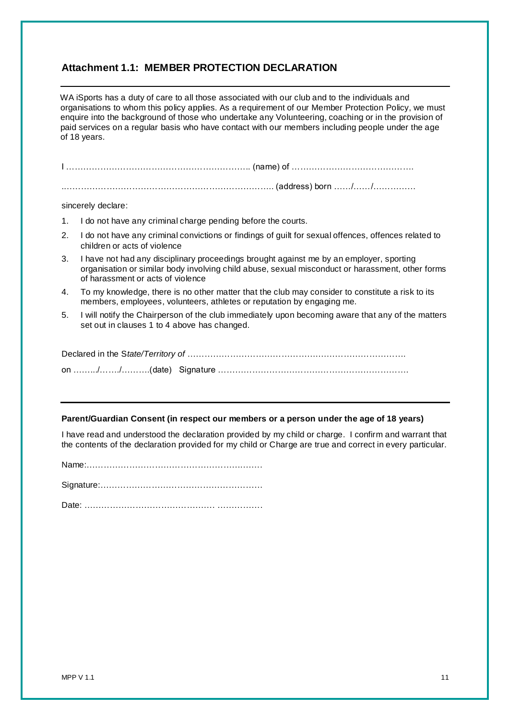# **Attachment 1.1: MEMBER PROTECTION DECLARATION**

WA iSports has a duty of care to all those associated with our club and to the individuals and organisations to whom this policy applies. As a requirement of our Member Protection Policy, we must enquire into the background of those who undertake any Volunteering, coaching or in the provision of paid services on a regular basis who have contact with our members including people under the age of 18 years.

|    | sincerely declare:                                                                                                                                                                                                               |  |
|----|----------------------------------------------------------------------------------------------------------------------------------------------------------------------------------------------------------------------------------|--|
| 1. | I do not have any criminal charge pending before the courts.                                                                                                                                                                     |  |
| 2. | I do not have any criminal convictions or findings of guilt for sexual offences, offences related to<br>children or acts of violence                                                                                             |  |
| 3. | I have not had any disciplinary proceedings brought against me by an employer, sporting<br>organisation or similar body involving child abuse, sexual misconduct or harassment, other forms<br>of harassment or acts of violence |  |
| 4. | To my knowledge, there is no other matter that the club may consider to constitute a risk to its<br>members, employees, volunteers, athletes or reputation by engaging me.                                                       |  |
| 5. | I will notify the Chairperson of the club immediately upon becoming aware that any of the matters<br>set out in clauses 1 to 4 above has changed.                                                                                |  |
|    |                                                                                                                                                                                                                                  |  |
|    |                                                                                                                                                                                                                                  |  |

## **Parent/Guardian Consent (in respect our members or a person under the age of 18 years)**

I have read and understood the declaration provided by my child or charge. I confirm and warrant that the contents of the declaration provided for my child or Charge are true and correct in every particular.

Name:……………………………………………….…….

Signature:…………………………………………………

Date: ………………………………………. …………….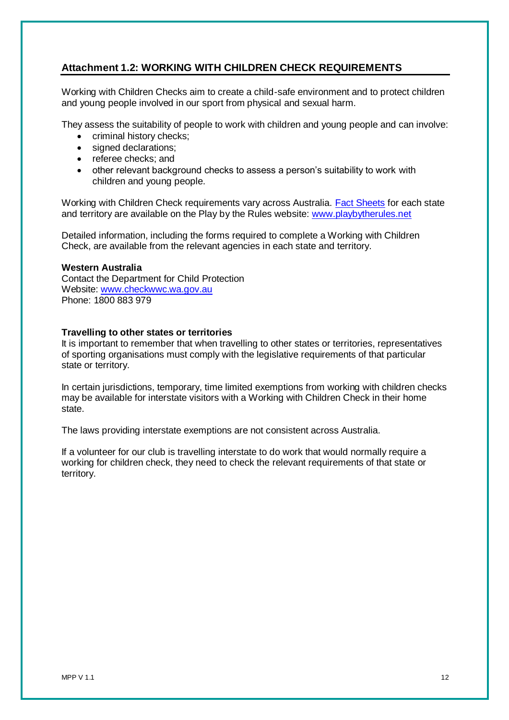# **Attachment 1.2: WORKING WITH CHILDREN CHECK REQUIREMENTS**

Working with Children Checks aim to create a child-safe environment and to protect children and young people involved in our sport from physical and sexual harm.

They assess the suitability of people to work with children and young people and can involve:

- criminal history checks;
- signed declarations:
- referee checks: and
- other relevant background checks to assess a person's suitability to work with children and young people.

Working with Children Check requirements vary across Australia. [Fact Sheets](http://www.playbytherules.net.au/legal-stuff/child-protection/child-protection-laws-explained/screening) for each state and territory are available on the Play by the Rules website: [www.playbytherules.net](http://www.playbytherules.net/)

Detailed information, including the forms required to complete a Working with Children Check, are available from the relevant agencies in each state and territory.

# **Western Australia**

Contact the Department for Child Protection Website: [www.checkwwc.wa.gov.au](http://www.checkwwc.wa.gov.au/) Phone: 1800 883 979

# **Travelling to other states or territories**

It is important to remember that when travelling to other states or territories, representatives of sporting organisations must comply with the legislative requirements of that particular state or territory.

In certain jurisdictions, temporary, time limited exemptions from working with children checks may be available for interstate visitors with a Working with Children Check in their home state.

The laws providing interstate exemptions are not consistent across Australia.

If a volunteer for our club is travelling interstate to do work that would normally require a working for children check, they need to check the relevant requirements of that state or territory.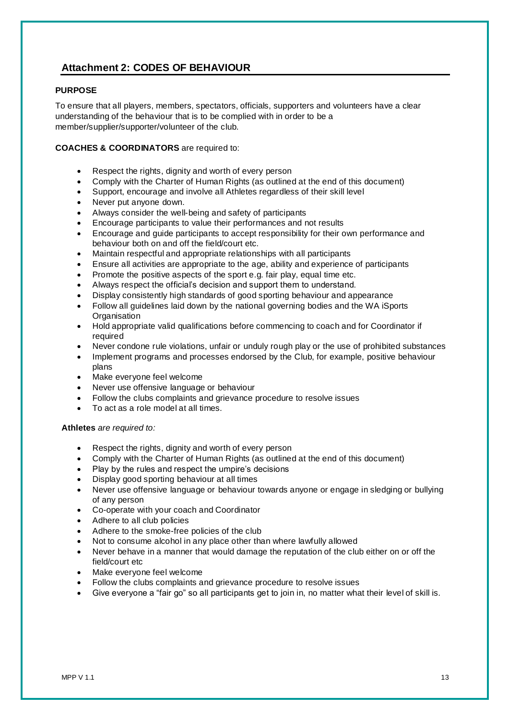# **Attachment 2: CODES OF BEHAVIOUR**

# **PURPOSE**

To ensure that all players, members, spectators, officials, supporters and volunteers have a clear understanding of the behaviour that is to be complied with in order to be a member/supplier/supporter/volunteer of the club.

# **COACHES & COORDINATORS** are required to:

- Respect the rights, dignity and worth of every person
- Comply with the Charter of Human Rights (as outlined at the end of this document)
- Support, encourage and involve all Athletes regardless of their skill level
- Never put anyone down.
- Always consider the well-being and safety of participants
- Encourage participants to value their performances and not results
- Encourage and guide participants to accept responsibility for their own performance and behaviour both on and off the field/court etc.
- Maintain respectful and appropriate relationships with all participants
- Ensure all activities are appropriate to the age, ability and experience of participants
- Promote the positive aspects of the sport e.g. fair play, equal time etc.
- Always respect the official's decision and support them to understand.
- Display consistently high standards of good sporting behaviour and appearance
- Follow all guidelines laid down by the national governing bodies and the WA iSports **Organisation**
- Hold appropriate valid qualifications before commencing to coach and for Coordinator if required
- Never condone rule violations, unfair or unduly rough play or the use of prohibited substances
- Implement programs and processes endorsed by the Club, for example, positive behaviour plans
- Make everyone feel welcome
- Never use offensive language or behaviour
- Follow the clubs complaints and grievance procedure to resolve issues
- To act as a role model at all times.

### **Athletes** *are required to:*

- Respect the rights, dignity and worth of every person
- Comply with the Charter of Human Rights (as outlined at the end of this document)
- Play by the rules and respect the umpire's decisions
- Display good sporting behaviour at all times
- Never use offensive language or behaviour towards anyone or engage in sledging or bullying of any person
- Co-operate with your coach and Coordinator
- Adhere to all club policies
- Adhere to the smoke-free policies of the club
- Not to consume alcohol in any place other than where lawfully allowed
- Never behave in a manner that would damage the reputation of the club either on or off the field/court etc
- Make everyone feel welcome
- Follow the clubs complaints and grievance procedure to resolve issues
- Give everyone a "fair go" so all participants get to join in, no matter what their level of skill is.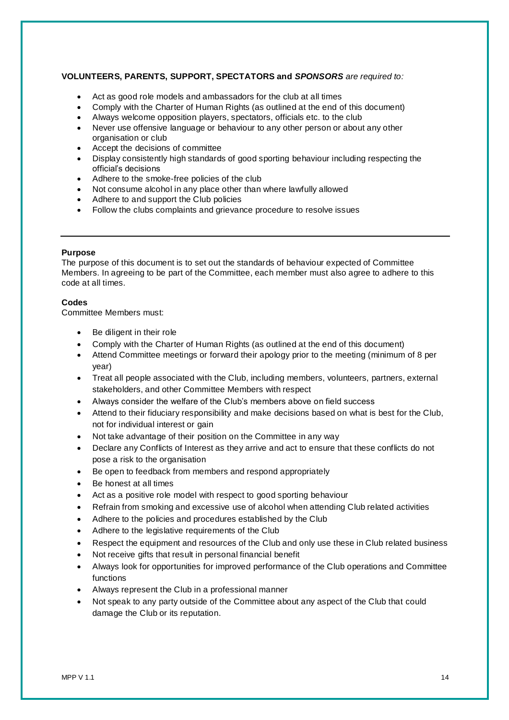# **VOLUNTEERS, PARENTS, SUPPORT, SPECTATORS and** *SPONSORS are required to:*

- Act as good role models and ambassadors for the club at all times
- Comply with the Charter of Human Rights (as outlined at the end of this document)
- Always welcome opposition players, spectators, officials etc. to the club
- Never use offensive language or behaviour to any other person or about any other organisation or club
- Accept the decisions of committee
- Display consistently high standards of good sporting behaviour including respecting the official's decisions
- Adhere to the smoke-free policies of the club
- Not consume alcohol in any place other than where lawfully allowed
- Adhere to and support the Club policies
- Follow the clubs complaints and grievance procedure to resolve issues

#### **Purpose**

The purpose of this document is to set out the standards of behaviour expected of Committee Members. In agreeing to be part of the Committee, each member must also agree to adhere to this code at all times.

### **Codes**

Committee Members must:

- Be diligent in their role
- Comply with the Charter of Human Rights (as outlined at the end of this document)
- Attend Committee meetings or forward their apology prior to the meeting (minimum of 8 per year)
- Treat all people associated with the Club, including members, volunteers, partners, external stakeholders, and other Committee Members with respect
- Always consider the welfare of the Club's members above on field success
- Attend to their fiduciary responsibility and make decisions based on what is best for the Club, not for individual interest or gain
- Not take advantage of their position on the Committee in any way
- Declare any Conflicts of Interest as they arrive and act to ensure that these conflicts do not pose a risk to the organisation
- Be open to feedback from members and respond appropriately
- Be honest at all times
- Act as a positive role model with respect to good sporting behaviour
- Refrain from smoking and excessive use of alcohol when attending Club related activities
- Adhere to the policies and procedures established by the Club
- Adhere to the legislative requirements of the Club
- Respect the equipment and resources of the Club and only use these in Club related business
- Not receive gifts that result in personal financial benefit
- Always look for opportunities for improved performance of the Club operations and Committee functions
- Always represent the Club in a professional manner
- Not speak to any party outside of the Committee about any aspect of the Club that could damage the Club or its reputation.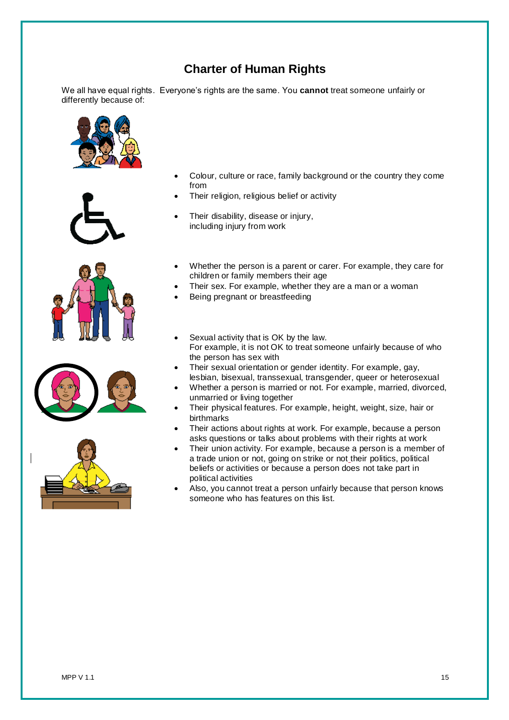# **Charter of Human Rights**

We all have equal rights. Everyone's rights are the same. You **cannot** treat someone unfairly or differently because of:











- Colour, culture or race, family background or the country they come from
- Their religion, religious belief or activity
- Their disability, disease or injury, including injury from work
- Whether the person is a parent or carer. For example, they care for children or family members their age
- Their sex. For example, whether they are a man or a woman
- Being pregnant or breastfeeding
- Sexual activity that is OK by the law. For example, it is not OK to treat someone unfairly because of who the person has sex with
- Their sexual orientation or gender identity. For example, gay, lesbian, bisexual, transsexual, transgender, queer or heterosexual
- Whether a person is married or not. For example, married, divorced, unmarried or living together
- Their physical features. For example, height, weight, size, hair or birthmarks
- Their actions about rights at work. For example, because a person asks questions or talks about problems with their rights at work
- Their union activity. For example, because a person is a member of a trade union or not, going on strike or not their politics, political beliefs or activities or because a person does not take part in political activities
- Also, you cannot treat a person unfairly because that person knows someone who has features on this list.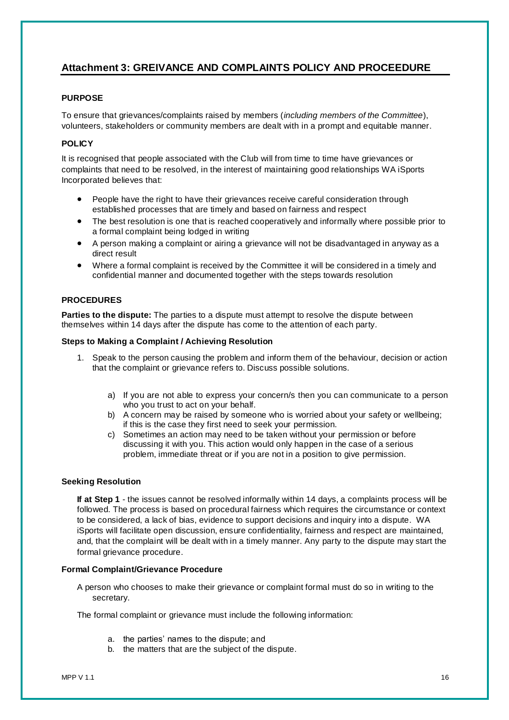# **Attachment 3: GREIVANCE AND COMPLAINTS POLICY AND PROCEEDURE**

# **PURPOSE**

To ensure that grievances/complaints raised by members (*including members of the Committee*), volunteers, stakeholders or community members are dealt with in a prompt and equitable manner.

# **POLICY**

It is recognised that people associated with the Club will from time to time have grievances or complaints that need to be resolved, in the interest of maintaining good relationships WA iSports Incorporated believes that:

- People have the right to have their grievances receive careful consideration through established processes that are timely and based on fairness and respect
- The best resolution is one that is reached cooperatively and informally where possible prior to a formal complaint being lodged in writing
- A person making a complaint or airing a grievance will not be disadvantaged in anyway as a direct result
- Where a formal complaint is received by the Committee it will be considered in a timely and confidential manner and documented together with the steps towards resolution

# **PROCEDURES**

**Parties to the dispute:** The parties to a dispute must attempt to resolve the dispute between themselves within 14 days after the dispute has come to the attention of each party.

# **Steps to Making a Complaint / Achieving Resolution**

- 1. Speak to the person causing the problem and inform them of the behaviour, decision or action that the complaint or grievance refers to. Discuss possible solutions.
	- a) If you are not able to express your concern/s then you can communicate to a person who you trust to act on your behalf.
	- b) A concern may be raised by someone who is worried about your safety or wellbeing; if this is the case they first need to seek your permission.
	- c) Sometimes an action may need to be taken without your permission or before discussing it with you. This action would only happen in the case of a serious problem, immediate threat or if you are not in a position to give permission.

### **Seeking Resolution**

**If at Step 1** - the issues cannot be resolved informally within 14 days, a complaints process will be followed. The process is based on procedural fairness which requires the circumstance or context to be considered, a lack of bias, evidence to support decisions and inquiry into a dispute. WA iSports will facilitate open discussion, ensure confidentiality, fairness and respect are maintained, and, that the complaint will be dealt with in a timely manner. Any party to the dispute may start the formal grievance procedure.

### **Formal Complaint/Grievance Procedure**

A person who chooses to make their grievance or complaint formal must do so in writing to the secretary.

The formal complaint or grievance must include the following information:

- a. the parties' names to the dispute; and
- b. the matters that are the subject of the dispute.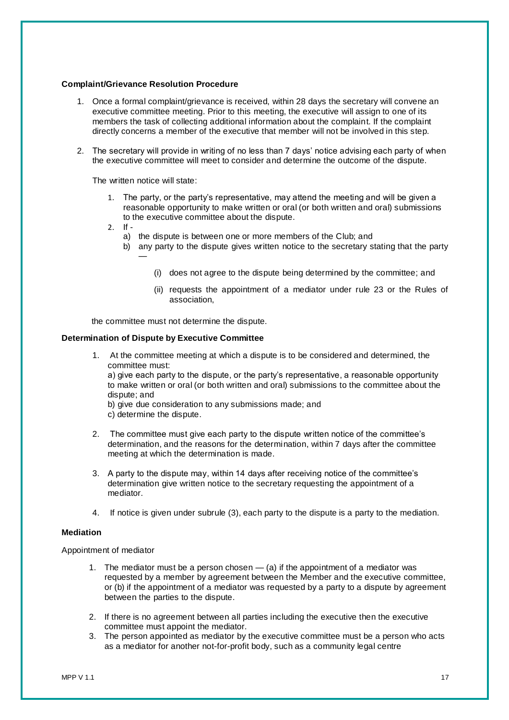### **Complaint/Grievance Resolution Procedure**

- 1. Once a formal complaint/grievance is received, within 28 days the secretary will convene an executive committee meeting. Prior to this meeting, the executive will assign to one of its members the task of collecting additional information about the complaint. If the complaint directly concerns a member of the executive that member will not be involved in this step.
- 2. The secretary will provide in writing of no less than 7 days' notice advising each party of when the executive committee will meet to consider and determine the outcome of the dispute.

The written notice will state:

- 1. The party, or the party's representative, may attend the meeting and will be given a reasonable opportunity to make written or oral (or both written and oral) submissions to the executive committee about the dispute.
- 2. If
	- a) the dispute is between one or more members of the Club; and
	- b) any party to the dispute gives written notice to the secretary stating that the party —
		- (i) does not agree to the dispute being determined by the committee; and
		- (ii) requests the appointment of a mediator under rule 23 or the Rules of association,

the committee must not determine the dispute.

#### **Determination of Dispute by Executive Committee**

- 1. At the committee meeting at which a dispute is to be considered and determined, the committee must: a) give each party to the dispute, or the party's representative, a reasonable opportunity to make written or oral (or both written and oral) submissions to the committee about the dispute; and b) give due consideration to any submissions made; and c) determine the dispute. 2. The committee must give each party to the dispute written notice of the committee's
- determination, and the reasons for the determination, within 7 days after the committee meeting at which the determination is made.
- 3. A party to the dispute may, within 14 days after receiving notice of the committee's determination give written notice to the secretary requesting the appointment of a mediator.
- 4. If notice is given under subrule (3), each party to the dispute is a party to the mediation.

#### **Mediation**

Appointment of mediator

- 1. The mediator must be a person chosen  $-$  (a) if the appointment of a mediator was requested by a member by agreement between the Member and the executive committee, or (b) if the appointment of a mediator was requested by a party to a dispute by agreement between the parties to the dispute.
- 2. If there is no agreement between all parties including the executive then the executive committee must appoint the mediator.
- 3. The person appointed as mediator by the executive committee must be a person who acts as a mediator for another not-for-profit body, such as a community legal centre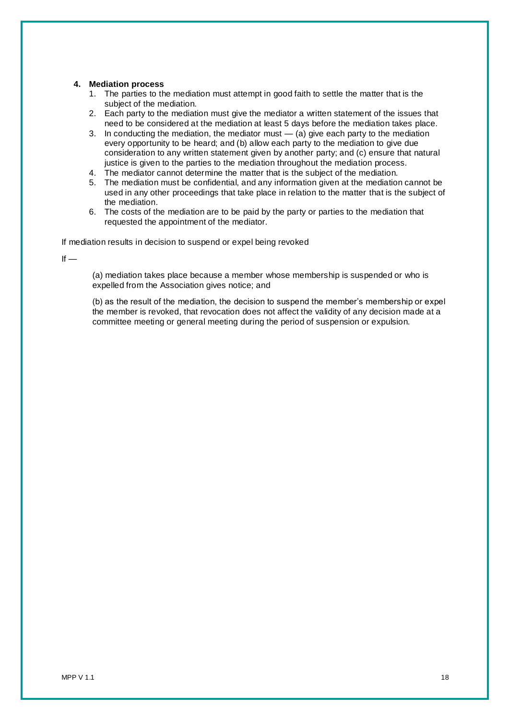### **4. Mediation process**

- 1. The parties to the mediation must attempt in good faith to settle the matter that is the subject of the mediation.
- 2. Each party to the mediation must give the mediator a written statement of the issues that need to be considered at the mediation at least 5 days before the mediation takes place.
- 3. In conducting the mediation, the mediator must  $-$  (a) give each party to the mediation every opportunity to be heard; and (b) allow each party to the mediation to give due consideration to any written statement given by another party; and (c) ensure that natural justice is given to the parties to the mediation throughout the mediation process.
- 4. The mediator cannot determine the matter that is the subject of the mediation.
- 5. The mediation must be confidential, and any information given at the mediation cannot be used in any other proceedings that take place in relation to the matter that is the subject of the mediation.
- 6. The costs of the mediation are to be paid by the party or parties to the mediation that requested the appointment of the mediator.

If mediation results in decision to suspend or expel being revoked

 $If =$ 

(a) mediation takes place because a member whose membership is suspended or who is expelled from the Association gives notice; and

(b) as the result of the mediation, the decision to suspend the member's membership or expel the member is revoked, that revocation does not affect the validity of any decision made at a committee meeting or general meeting during the period of suspension or expulsion.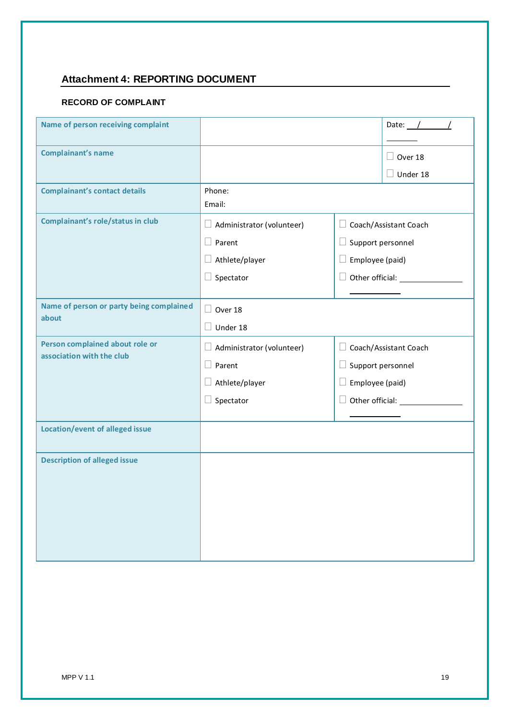# **Attachment 4: REPORTING DOCUMENT**

# **RECORD OF COMPLAINT**

| Name of person receiving complaint                           | Date: $\angle$                    |                          |                               |
|--------------------------------------------------------------|-----------------------------------|--------------------------|-------------------------------|
| <b>Complainant's name</b>                                    |                                   |                          |                               |
|                                                              | $\Box$ Over 18<br>$\Box$ Under 18 |                          |                               |
| <b>Complainant's contact details</b>                         | Phone:<br>Email:                  |                          |                               |
| Complainant's role/status in club                            | $\Box$ Administrator (volunteer)  |                          | □ Coach/Assistant Coach       |
|                                                              | $\Box$ Parent                     | $\Box$ Support personnel |                               |
|                                                              | $\Box$ Athlete/player             | $\Box$ Employee (paid)   |                               |
|                                                              | $\Box$ Spectator                  |                          | $\Box$ Other official: $\Box$ |
|                                                              |                                   |                          |                               |
| Name of person or party being complained<br>about            | $\Box$ Over 18                    |                          |                               |
|                                                              | $\Box$ Under 18                   |                          |                               |
| Person complained about role or<br>association with the club | $\Box$ Administrator (volunteer)  |                          | □ Coach/Assistant Coach       |
|                                                              | $\Box$ Parent                     | $\Box$ Support personnel |                               |
|                                                              | $\Box$ Athlete/player             | $\Box$ Employee (paid)   |                               |
|                                                              | $\Box$ Spectator                  |                          | $\Box$ Other official: $\Box$ |
|                                                              |                                   |                          |                               |
| <b>Location/event of alleged issue</b>                       |                                   |                          |                               |
| <b>Description of alleged issue</b>                          |                                   |                          |                               |
|                                                              |                                   |                          |                               |
|                                                              |                                   |                          |                               |
|                                                              |                                   |                          |                               |
|                                                              |                                   |                          |                               |
|                                                              |                                   |                          |                               |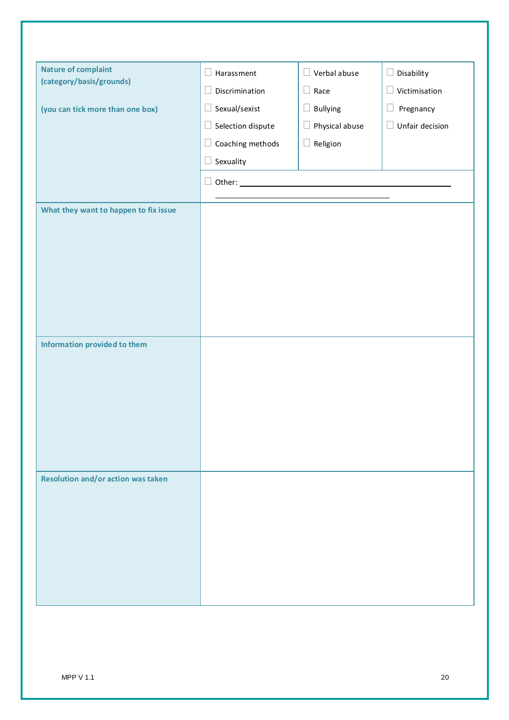| <b>Nature of complaint</b>                | $\Box$ Harassment        | $\Box$ Verbal abuse      | $\Box$ Disability |
|-------------------------------------------|--------------------------|--------------------------|-------------------|
| (category/basis/grounds)                  | Discrimination<br>$\Box$ | $\Box$ Race              | Victimisation     |
| (you can tick more than one box)          | $\Box$ Sexual/sexist     | $\Box$ Bullying          | Pregnancy<br>Ц    |
|                                           | $\Box$ Selection dispute | Physical abuse<br>$\Box$ | Unfair decision   |
|                                           | Coaching methods<br>Ц    | $\Box$ Religion          |                   |
|                                           | $\Box$ Sexuality         |                          |                   |
|                                           | $\square$ Other: $\_\_$  |                          |                   |
|                                           |                          |                          |                   |
| What they want to happen to fix issue     |                          |                          |                   |
|                                           |                          |                          |                   |
|                                           |                          |                          |                   |
|                                           |                          |                          |                   |
|                                           |                          |                          |                   |
|                                           |                          |                          |                   |
|                                           |                          |                          |                   |
| Information provided to them              |                          |                          |                   |
|                                           |                          |                          |                   |
|                                           |                          |                          |                   |
|                                           |                          |                          |                   |
|                                           |                          |                          |                   |
|                                           |                          |                          |                   |
|                                           |                          |                          |                   |
| <b>Resolution and/or action was taken</b> |                          |                          |                   |
|                                           |                          |                          |                   |
|                                           |                          |                          |                   |
|                                           |                          |                          |                   |
|                                           |                          |                          |                   |
|                                           |                          |                          |                   |
|                                           |                          |                          |                   |
|                                           |                          |                          |                   |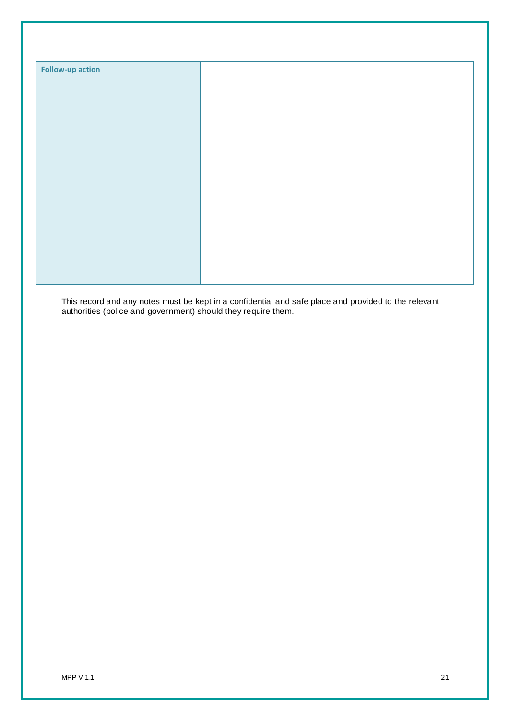| <b>Follow-up action</b> |  |
|-------------------------|--|
|                         |  |
|                         |  |
|                         |  |
|                         |  |
|                         |  |
|                         |  |
|                         |  |
|                         |  |
|                         |  |
|                         |  |
|                         |  |
|                         |  |
|                         |  |
|                         |  |

This record and any notes must be kept in a confidential and safe place and provided to the relevant authorities (police and government) should they require them.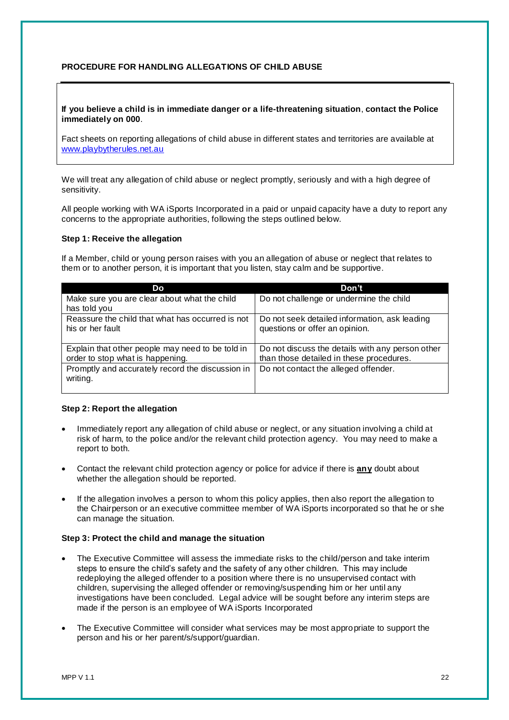# **PROCEDURE FOR HANDLING ALLEGATIONS OF CHILD ABUSE**

### **If you believe a child is in immediate danger or a life-threatening situation**, **contact the Police immediately on 000**.

Fact sheets on reporting allegations of child abuse in different states and territories are available at [www.playbytherules.net.au](http://www.playbytherules.net.au/)

We will treat any allegation of child abuse or neglect promptly, seriously and with a high degree of sensitivity.

All people working with WA iSports Incorporated in a paid or unpaid capacity have a duty to report any concerns to the appropriate authorities, following the steps outlined below.

### **Step 1: Receive the allegation**

If a Member, child or young person raises with you an allegation of abuse or neglect that relates to them or to another person, it is important that you listen, stay calm and be supportive.

| Do                                               | Don't                                            |
|--------------------------------------------------|--------------------------------------------------|
| Make sure you are clear about what the child     | Do not challenge or undermine the child          |
| has told you                                     |                                                  |
| Reassure the child that what has occurred is not | Do not seek detailed information, ask leading    |
| his or her fault                                 | questions or offer an opinion.                   |
|                                                  |                                                  |
| Explain that other people may need to be told in | Do not discuss the details with any person other |
| order to stop what is happening.                 | than those detailed in these procedures.         |
| Promptly and accurately record the discussion in | Do not contact the alleged offender.             |
| writing.                                         |                                                  |
|                                                  |                                                  |

# **Step 2: Report the allegation**

- Immediately report any allegation of child abuse or neglect, or any situation involving a child at risk of harm, to the police and/or the relevant child protection agency. You may need to make a report to both.
- Contact the relevant child protection agency or police for advice if there is **any** doubt about whether the allegation should be reported.
- If the allegation involves a person to whom this policy applies, then also report the allegation to the Chairperson or an executive committee member of WA iSports incorporated so that he or she can manage the situation.

# **Step 3: Protect the child and manage the situation**

- The Executive Committee will assess the immediate risks to the child/person and take interim steps to ensure the child's safety and the safety of any other children. This may include redeploying the alleged offender to a position where there is no unsupervised contact with children, supervising the alleged offender or removing/suspending him or her until any investigations have been concluded. Legal advice will be sought before any interim steps are made if the person is an employee of WA iSports Incorporated
- The Executive Committee will consider what services may be most appropriate to support the person and his or her parent/s/support/guardian.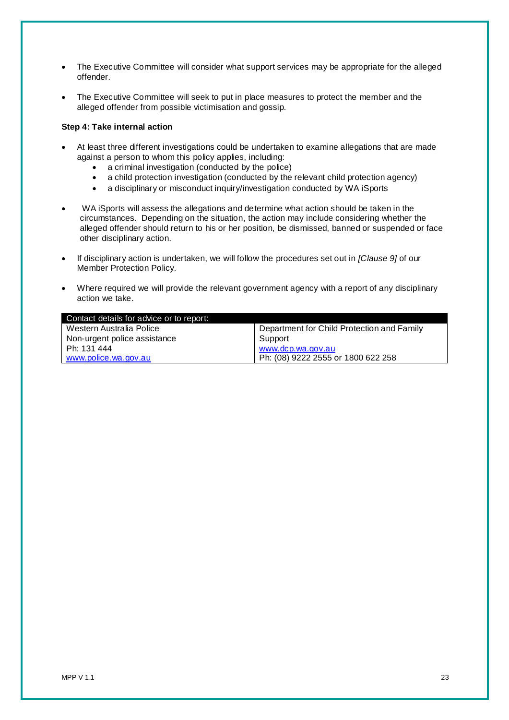- The Executive Committee will consider what support services may be appropriate for the alleged offender.
- The Executive Committee will seek to put in place measures to protect the member and the alleged offender from possible victimisation and gossip.

# **Step 4: Take internal action**

- At least three different investigations could be undertaken to examine allegations that are made against a person to whom this policy applies, including:
	- a criminal investigation (conducted by the police)
	- a child protection investigation (conducted by the relevant child protection agency)
	- a disciplinary or misconduct inquiry/investigation conducted by WA iSports
- WA iSports will assess the allegations and determine what action should be taken in the circumstances. Depending on the situation, the action may include considering whether the alleged offender should return to his or her position, be dismissed, banned or suspended or face other disciplinary action.
- If disciplinary action is undertaken, we will follow the procedures set out in *[Clause 9]* of our Member Protection Policy.
- Where required we will provide the relevant government agency with a report of any disciplinary action we take.

| Contact details for advice or to report: |                                            |
|------------------------------------------|--------------------------------------------|
| Western Australia Police                 | Department for Child Protection and Family |
| Non-urgent police assistance             | Support                                    |
| Ph: 131 444                              | www.dcp.wa.gov.au                          |
| www.police.wa.gov.au                     | Ph: (08) 9222 2555 or 1800 622 258         |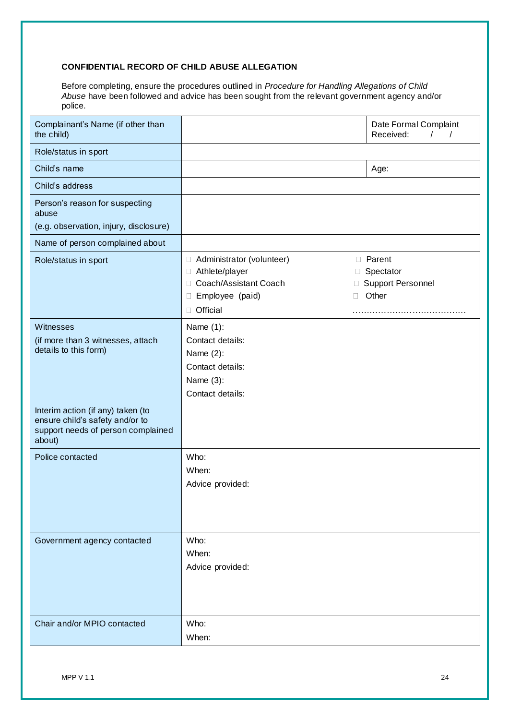# **CONFIDENTIAL RECORD OF CHILD ABUSE ALLEGATION**

Before completing, ensure the procedures outlined in *Procedure for Handling Allegations of Child Abuse* have been followed and advice has been sought from the relevant government agency and/or police.

| Complainant's Name (if other than<br>the child)                                                                      |                                                                                                                    | Date Formal Complaint<br>Received:<br>$\sqrt{2}$<br>$\prime$   |
|----------------------------------------------------------------------------------------------------------------------|--------------------------------------------------------------------------------------------------------------------|----------------------------------------------------------------|
| Role/status in sport                                                                                                 |                                                                                                                    |                                                                |
| Child's name                                                                                                         |                                                                                                                    | Age:                                                           |
| Child's address                                                                                                      |                                                                                                                    |                                                                |
| Person's reason for suspecting<br>abuse                                                                              |                                                                                                                    |                                                                |
| (e.g. observation, injury, disclosure)                                                                               |                                                                                                                    |                                                                |
| Name of person complained about                                                                                      |                                                                                                                    |                                                                |
| Role/status in sport                                                                                                 | □ Administrator (volunteer)<br>□ Athlete/player<br>□ Coach/Assistant Coach<br>□ Employee (paid)<br>Ш<br>□ Official | <b>D</b> Parent<br>□ Spectator<br>□ Support Personnel<br>Other |
| Witnesses<br>(if more than 3 witnesses, attach<br>details to this form)                                              | Name $(1)$ :<br>Contact details:<br>Name $(2)$ :<br>Contact details:<br>Name $(3)$ :<br>Contact details:           |                                                                |
| Interim action (if any) taken (to<br>ensure child's safety and/or to<br>support needs of person complained<br>about) |                                                                                                                    |                                                                |
| Police contacted                                                                                                     | Who:<br>When:<br>Advice provided:                                                                                  |                                                                |
| Government agency contacted                                                                                          | Who:<br>When:<br>Advice provided:                                                                                  |                                                                |
| Chair and/or MPIO contacted                                                                                          | Who:<br>When:                                                                                                      |                                                                |